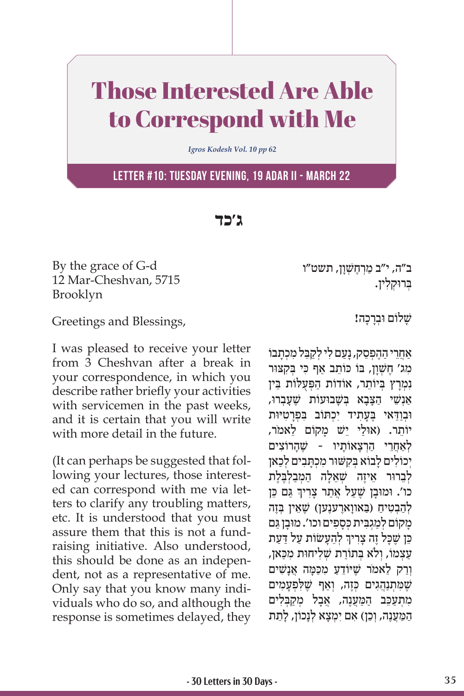## Those Interested Are Able to Correspond with Me

*Igros Kodesh Vol. 10 pp 62*

**Letter #10: Tuesday evening, 19 Adar II - March 22**

**ג'כד**

By the grace of G-d 12 Mar-Cheshvan, 5715 Brooklyn

Greetings and Blessings,

I was pleased to receive your letter from 3 Cheshvan after a break in your correspondence, in which you describe rather briefly your activities with servicemen in the past weeks, and it is certain that you will write with more detail in the future.

(It can perhaps be suggested that following your lectures, those interested can correspond with me via letters to clarify any troubling matters, etc. It is understood that you must assure them that this is not a fundraising initiative. Also understood, this should be done as an independent, not as a representative of me. Only say that you know many individuals who do so, and although the response is sometimes delayed, they ב״ה, י״ב מַרְחֶשְׁוַן, תשט״ו ַבְּרוּקלין.

שלום וּברכה!

ֹאַחִרי ההפסק, נעם לי לקבל מכתבוֹ מג' חַשׁוַן, בּוֹ כּוֹתֵב אַף כִּי בִּקְצוּר נמרץ בִיוֹתֵר, אוֹדוֹת הפִעַלוֹת בֵּין ָאוַשֵׁי הצבא בּשׁבוּעוֹת שֵׁעַבְרוּ, וּבִוּדאי בַּעַתיד יכִתּוֹב בַּפְרְטִיּוּת יוֹתר. (אוּלי ישׁ מקוֹם לאמֹר, לאחרי הרצאותיו - שהרוצים יכוֹלים לבוֹא בקשוּר מכתבים לכאן לְבָרוּר אֵיזֶה שָׁאֵלַה הַמְבַלְבֵּלֶת ֧֧֧֦֧֢ׅ֖֖֖֖֖֧֚֚֚֚֚֚֝֝֬<u>֓</u> כו'. וּמוּבָן שֶׁעַל אֲתַר צָרִיךְ גַּם כֵּן להבטיח (באווארענען) שַׁאַין בַּזָה מקוֹם למגבית כּספים וכו'. מוּבן גם ׅ֖֖֖֖֖֖֖֖ׅ֖֪ׅ֪֪ׅ֚֚֚֚֚֚֚֚֚֚֚֚֚֚֚֚֚֚֚֚֚֚֓֝֓֞֬֝֓֞֝֓֝֬֝֬֓֓֞֝֬֝֬֝֬ כֵּן שֶׁכָּל זֶה צָרִיךְ לְהֵעָשׂוֹת עַל דַעַת ַעֲצְמוֹ, וְלֹא בְתוֹרַת שִׁלִיחוּת מִכַּאן, וְרַק לֵאמֹר שֶׁיּוֹדֵעַ מִכַּמַּה אֲנַשִׁים שָׁמֹתְנִהְגים כְּזֶה, וַאף שֵׁלִפְעָמים מתעכֵב המענה, אבל מַקבַלים הַמַּעֲנֶה, וְכֵן) אִם יִמְצָא לְנַכוֹן, לַתֵת